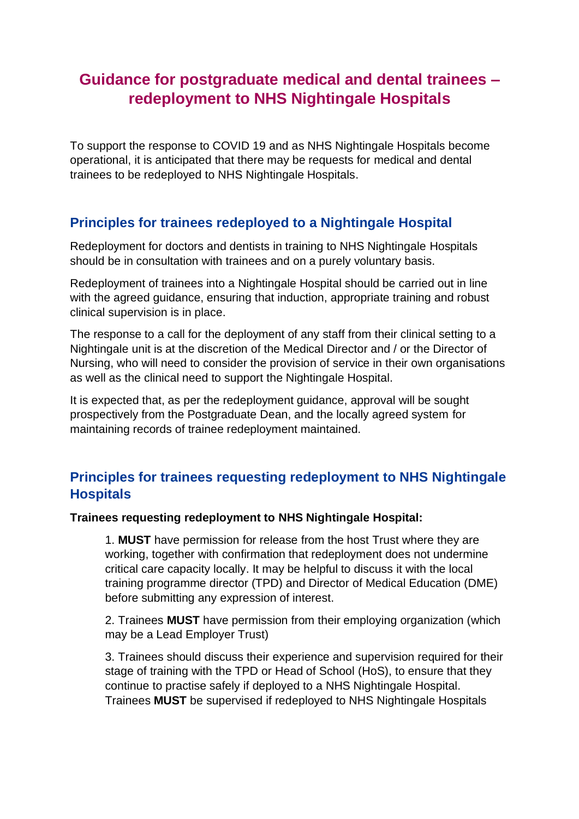## **Guidance for postgraduate medical and dental trainees – redeployment to NHS Nightingale Hospitals**

To support the response to COVID 19 and as NHS Nightingale Hospitals become operational, it is anticipated that there may be requests for medical and dental trainees to be redeployed to NHS Nightingale Hospitals.

## **Principles for trainees redeployed to a Nightingale Hospital**

Redeployment for doctors and dentists in training to NHS Nightingale Hospitals should be in consultation with trainees and on a purely voluntary basis.

Redeployment of trainees into a Nightingale Hospital should be carried out in line with the agreed guidance, ensuring that induction, appropriate training and robust clinical supervision is in place.

The response to a call for the deployment of any staff from their clinical setting to a Nightingale unit is at the discretion of the Medical Director and / or the Director of Nursing, who will need to consider the provision of service in their own organisations as well as the clinical need to support the Nightingale Hospital.

It is expected that, as per the redeployment guidance, approval will be sought prospectively from the Postgraduate Dean, and the locally agreed system for maintaining records of trainee redeployment maintained.

## **Principles for trainees requesting redeployment to NHS Nightingale Hospitals**

## **Trainees requesting redeployment to NHS Nightingale Hospital:**

1. **MUST** have permission for release from the host Trust where they are working, together with confirmation that redeployment does not undermine critical care capacity locally. It may be helpful to discuss it with the local training programme director (TPD) and Director of Medical Education (DME) before submitting any expression of interest.

2. Trainees **MUST** have permission from their employing organization (which may be a Lead Employer Trust)

3. Trainees should discuss their experience and supervision required for their stage of training with the TPD or Head of School (HoS), to ensure that they continue to practise safely if deployed to a NHS Nightingale Hospital. Trainees **MUST** be supervised if redeployed to NHS Nightingale Hospitals